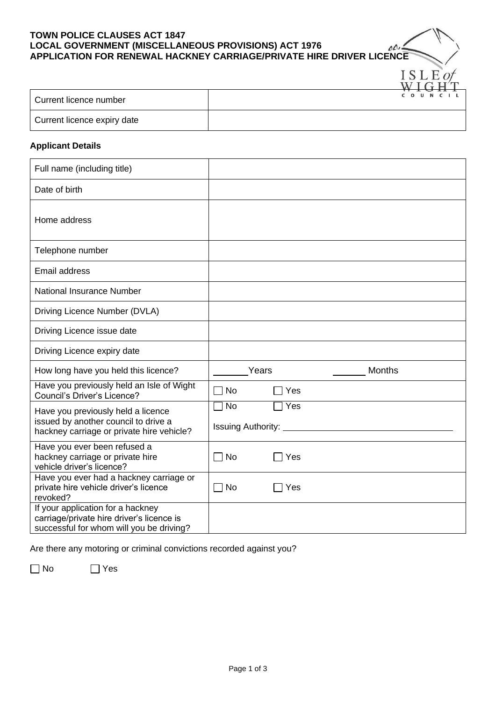## **TOWN POLICE CLAUSES ACT 1847 LOCAL GOVERNMENT (MISCELLANEOUS PROVISIONS) ACT 1976 APPLICATION FOR RENEWAL HACKNEY CARRIAGE/PRIVATE HIRE DRIVER LICENCE**

| Current licence number      | COUNCIL |
|-----------------------------|---------|
| Current licence expiry date |         |

 $\triangle$ 

ISLEof

## **Applicant Details**

| Full name (including title)                                                                                                |           |                           |               |  |
|----------------------------------------------------------------------------------------------------------------------------|-----------|---------------------------|---------------|--|
| Date of birth                                                                                                              |           |                           |               |  |
| Home address                                                                                                               |           |                           |               |  |
| Telephone number                                                                                                           |           |                           |               |  |
| <b>Email address</b>                                                                                                       |           |                           |               |  |
| National Insurance Number                                                                                                  |           |                           |               |  |
| Driving Licence Number (DVLA)                                                                                              |           |                           |               |  |
| Driving Licence issue date                                                                                                 |           |                           |               |  |
| Driving Licence expiry date                                                                                                |           |                           |               |  |
| How long have you held this licence?                                                                                       |           | Years                     | <b>Months</b> |  |
| Have you previously held an Isle of Wight<br>Council's Driver's Licence?                                                   | No        | Yes                       |               |  |
| Have you previously held a licence                                                                                         | <b>No</b> | Yes                       |               |  |
| issued by another council to drive a<br>hackney carriage or private hire vehicle?                                          |           | <b>Issuing Authority:</b> |               |  |
| Have you ever been refused a<br>hackney carriage or private hire<br>vehicle driver's licence?                              | <b>No</b> | Yes                       |               |  |
| Have you ever had a hackney carriage or<br>private hire vehicle driver's licence<br>revoked?                               | ∩ No      | Yes                       |               |  |
| If your application for a hackney<br>carriage/private hire driver's licence is<br>successful for whom will you be driving? |           |                           |               |  |

Are there any motoring or criminal convictions recorded against you?

No Yes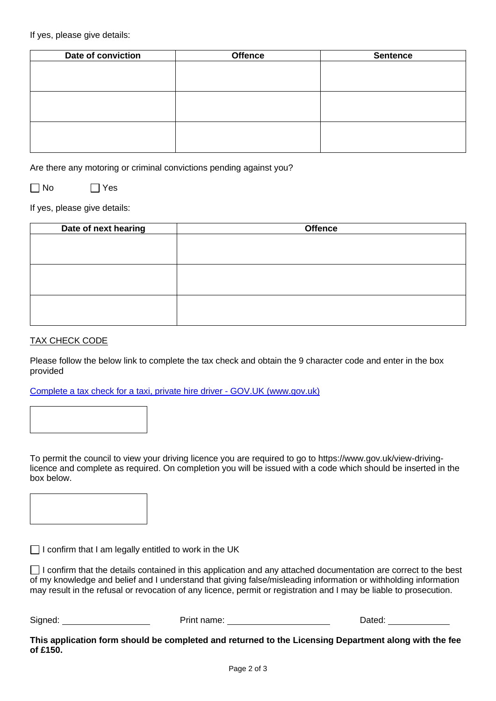If yes, please give details:

| Date of conviction | <b>Offence</b> | <b>Sentence</b> |  |
|--------------------|----------------|-----------------|--|
|                    |                |                 |  |
|                    |                |                 |  |
|                    |                |                 |  |
|                    |                |                 |  |
|                    |                |                 |  |
|                    |                |                 |  |
|                    |                |                 |  |
|                    |                |                 |  |
|                    |                |                 |  |

Are there any motoring or criminal convictions pending against you?

 $\neg$  No  $\neg$  Yes

If yes, please give details:

| Date of next hearing | <b>Offence</b> |
|----------------------|----------------|
|                      |                |
|                      |                |
|                      |                |
|                      |                |
|                      |                |
|                      |                |
|                      |                |
|                      |                |
|                      |                |

## TAX CHECK CODE

Please follow the below link to complete the tax check and obtain the 9 character code and enter in the box provided

[Complete a tax check for a](https://www.gov.uk/guidance/complete-a-tax-check-for-a-taxi-private-hire-or-scrap-metal-licence) taxi, private hire driver - GOV.UK (www.gov.uk)



To permit the council to view your driving licence you are required to go to https://www.gov.uk/view-drivinglicence and complete as required. On completion you will be issued with a code which should be inserted in the box below.

 $\Box$  I confirm that I am legally entitled to work in the UK

 $\Box$  I confirm that the details contained in this application and any attached documentation are correct to the best of my knowledge and belief and I understand that giving false/misleading information or withholding information may result in the refusal or revocation of any licence, permit or registration and I may be liable to prosecution.

Signed: Print name: Print name: Dated:

**This application form should be completed and returned to the Licensing Department along with the fee of £150.**